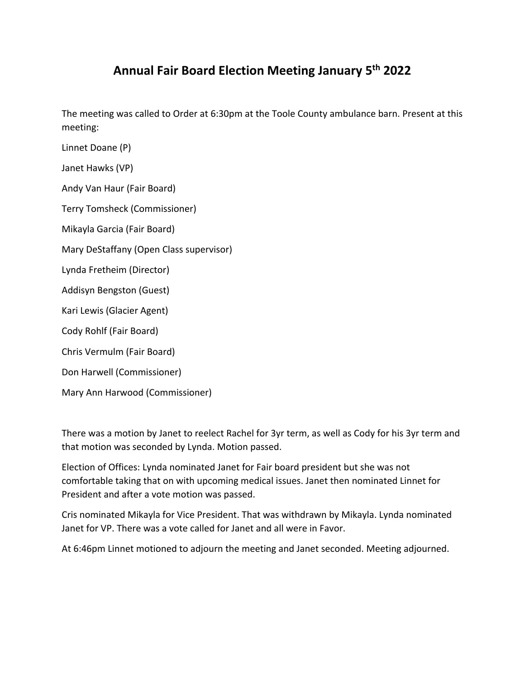## **Annual Fair Board Election Meeting January 5th 2022**

The meeting was called to Order at 6:30pm at the Toole County ambulance barn. Present at this meeting:

Linnet Doane (P)

Janet Hawks (VP)

Andy Van Haur (Fair Board)

Terry Tomsheck (Commissioner)

Mikayla Garcia (Fair Board)

Mary DeStaffany (Open Class supervisor)

Lynda Fretheim (Director)

Addisyn Bengston (Guest)

Kari Lewis (Glacier Agent)

Cody Rohlf (Fair Board)

Chris Vermulm (Fair Board)

Don Harwell (Commissioner)

Mary Ann Harwood (Commissioner)

There was a motion by Janet to reelect Rachel for 3yr term, as well as Cody for his 3yr term and that motion was seconded by Lynda. Motion passed.

Election of Offices: Lynda nominated Janet for Fair board president but she was not comfortable taking that on with upcoming medical issues. Janet then nominated Linnet for President and after a vote motion was passed.

Cris nominated Mikayla for Vice President. That was withdrawn by Mikayla. Lynda nominated Janet for VP. There was a vote called for Janet and all were in Favor.

At 6:46pm Linnet motioned to adjourn the meeting and Janet seconded. Meeting adjourned.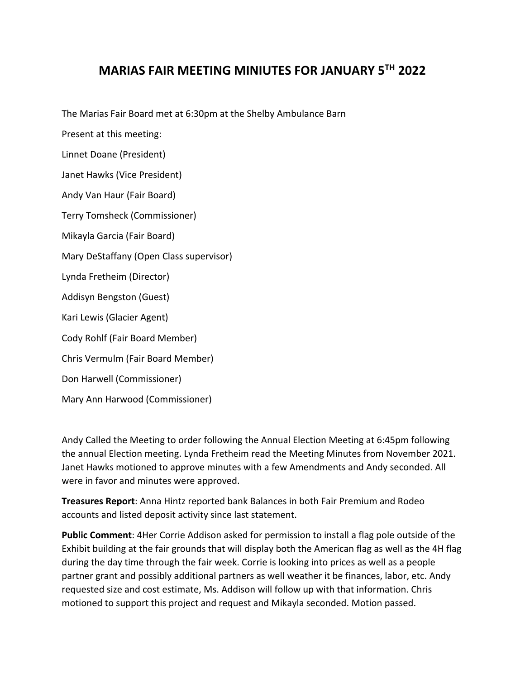## **MARIAS FAIR MEETING MINIUTES FOR JANUARY 5TH 2022**

The Marias Fair Board met at 6:30pm at the Shelby Ambulance Barn

Present at this meeting:

Linnet Doane (President)

Janet Hawks (Vice President)

Andy Van Haur (Fair Board)

Terry Tomsheck (Commissioner)

Mikayla Garcia (Fair Board)

Mary DeStaffany (Open Class supervisor)

Lynda Fretheim (Director)

Addisyn Bengston (Guest)

Kari Lewis (Glacier Agent)

Cody Rohlf (Fair Board Member)

Chris Vermulm (Fair Board Member)

Don Harwell (Commissioner)

Mary Ann Harwood (Commissioner)

Andy Called the Meeting to order following the Annual Election Meeting at 6:45pm following the annual Election meeting. Lynda Fretheim read the Meeting Minutes from November 2021. Janet Hawks motioned to approve minutes with a few Amendments and Andy seconded. All were in favor and minutes were approved.

**Treasures Report**: Anna Hintz reported bank Balances in both Fair Premium and Rodeo accounts and listed deposit activity since last statement.

**Public Comment**: 4Her Corrie Addison asked for permission to install a flag pole outside of the Exhibit building at the fair grounds that will display both the American flag as well as the 4H flag during the day time through the fair week. Corrie is looking into prices as well as a people partner grant and possibly additional partners as well weather it be finances, labor, etc. Andy requested size and cost estimate, Ms. Addison will follow up with that information. Chris motioned to support this project and request and Mikayla seconded. Motion passed.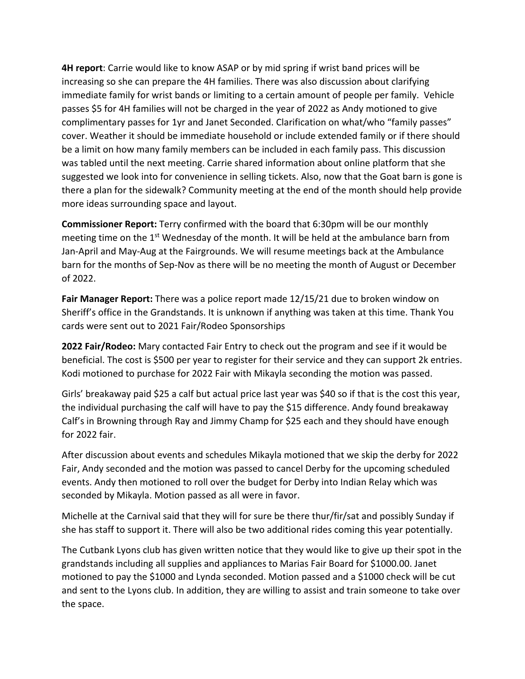**4H report**: Carrie would like to know ASAP or by mid spring if wrist band prices will be increasing so she can prepare the 4H families. There was also discussion about clarifying immediate family for wrist bands or limiting to a certain amount of people per family. Vehicle passes \$5 for 4H families will not be charged in the year of 2022 as Andy motioned to give complimentary passes for 1yr and Janet Seconded. Clarification on what/who "family passes" cover. Weather it should be immediate household or include extended family or if there should be a limit on how many family members can be included in each family pass. This discussion was tabled until the next meeting. Carrie shared information about online platform that she suggested we look into for convenience in selling tickets. Also, now that the Goat barn is gone is there a plan for the sidewalk? Community meeting at the end of the month should help provide more ideas surrounding space and layout.

**Commissioner Report:** Terry confirmed with the board that 6:30pm will be our monthly meeting time on the  $1<sup>st</sup>$  Wednesday of the month. It will be held at the ambulance barn from Jan‐April and May‐Aug at the Fairgrounds. We will resume meetings back at the Ambulance barn for the months of Sep‐Nov as there will be no meeting the month of August or December of 2022.

**Fair Manager Report:** There was a police report made 12/15/21 due to broken window on Sheriff's office in the Grandstands. It is unknown if anything was taken at this time. Thank You cards were sent out to 2021 Fair/Rodeo Sponsorships

**2022 Fair/Rodeo:** Mary contacted Fair Entry to check out the program and see if it would be beneficial. The cost is \$500 per year to register for their service and they can support 2k entries. Kodi motioned to purchase for 2022 Fair with Mikayla seconding the motion was passed.

Girls' breakaway paid \$25 a calf but actual price last year was \$40 so if that is the cost this year, the individual purchasing the calf will have to pay the \$15 difference. Andy found breakaway Calf's in Browning through Ray and Jimmy Champ for \$25 each and they should have enough for 2022 fair.

After discussion about events and schedules Mikayla motioned that we skip the derby for 2022 Fair, Andy seconded and the motion was passed to cancel Derby for the upcoming scheduled events. Andy then motioned to roll over the budget for Derby into Indian Relay which was seconded by Mikayla. Motion passed as all were in favor.

Michelle at the Carnival said that they will for sure be there thur/fir/sat and possibly Sunday if she has staff to support it. There will also be two additional rides coming this year potentially.

The Cutbank Lyons club has given written notice that they would like to give up their spot in the grandstands including all supplies and appliances to Marias Fair Board for \$1000.00. Janet motioned to pay the \$1000 and Lynda seconded. Motion passed and a \$1000 check will be cut and sent to the Lyons club. In addition, they are willing to assist and train someone to take over the space.